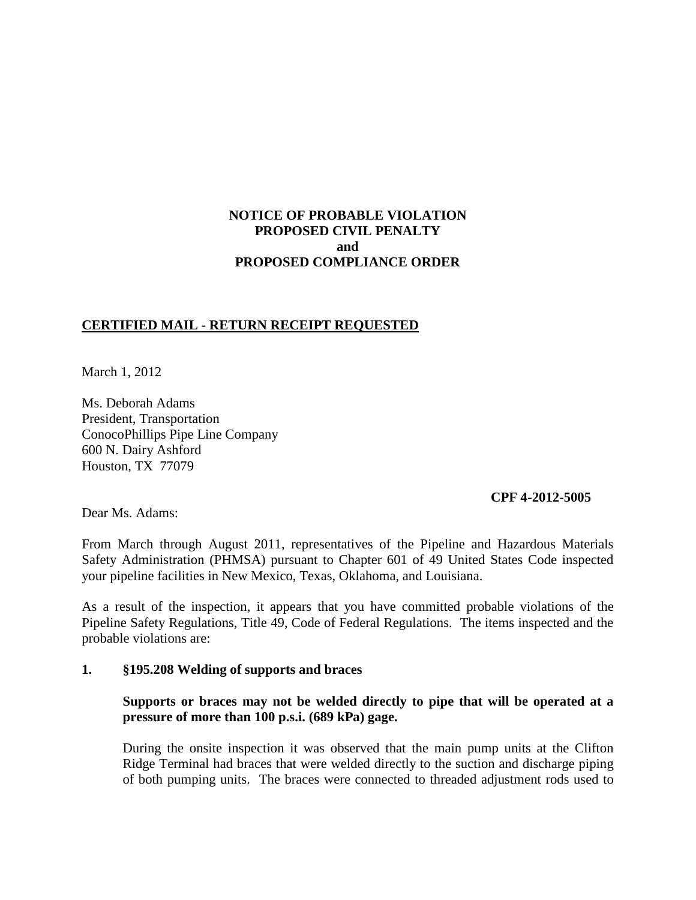# **NOTICE OF PROBABLE VIOLATION PROPOSED CIVIL PENALTY and PROPOSED COMPLIANCE ORDER**

### **CERTIFIED MAIL - RETURN RECEIPT REQUESTED**

March 1, 2012

Ms. Deborah Adams President, Transportation ConocoPhillips Pipe Line Company 600 N. Dairy Ashford Houston, TX 77079

### **CPF 4-2012-5005**

Dear Ms. Adams:

From March through August 2011, representatives of the Pipeline and Hazardous Materials Safety Administration (PHMSA) pursuant to Chapter 601 of 49 United States Code inspected your pipeline facilities in New Mexico, Texas, Oklahoma, and Louisiana.

As a result of the inspection, it appears that you have committed probable violations of the Pipeline Safety Regulations, Title 49, Code of Federal Regulations. The items inspected and the probable violations are:

#### **1. §195.208 Welding of supports and braces**

### **Supports or braces may not be welded directly to pipe that will be operated at a pressure of more than 100 p.s.i. (689 kPa) gage.**

During the onsite inspection it was observed that the main pump units at the Clifton Ridge Terminal had braces that were welded directly to the suction and discharge piping of both pumping units. The braces were connected to threaded adjustment rods used to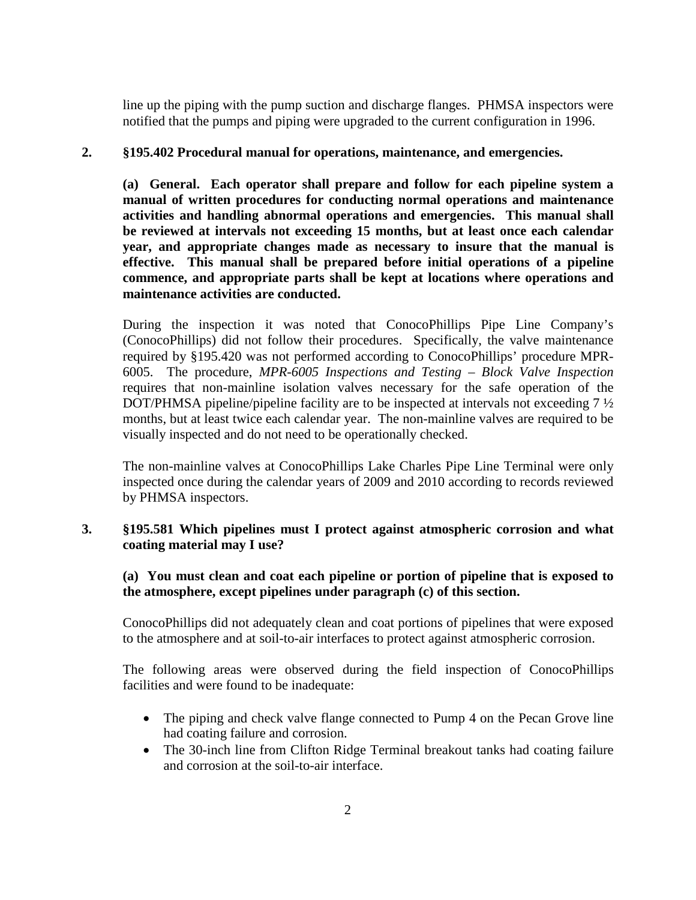line up the piping with the pump suction and discharge flanges. PHMSA inspectors were notified that the pumps and piping were upgraded to the current configuration in 1996.

#### **2. §195.402 Procedural manual for operations, maintenance, and emergencies.**

**(a) General. Each operator shall prepare and follow for each pipeline system a manual of written procedures for conducting normal operations and maintenance activities and handling abnormal operations and emergencies. This manual shall be reviewed at intervals not exceeding 15 months, but at least once each calendar year, and appropriate changes made as necessary to insure that the manual is effective. This manual shall be prepared before initial operations of a pipeline commence, and appropriate parts shall be kept at locations where operations and maintenance activities are conducted.**

During the inspection it was noted that ConocoPhillips Pipe Line Company's (ConocoPhillips) did not follow their procedures. Specifically, the valve maintenance required by §195.420 was not performed according to ConocoPhillips' procedure MPR-6005. The procedure, *MPR-6005 Inspections and Testing – Block Valve Inspection* requires that non-mainline isolation valves necessary for the safe operation of the DOT/PHMSA pipeline/pipeline facility are to be inspected at intervals not exceeding 7  $\frac{1}{2}$ months, but at least twice each calendar year. The non-mainline valves are required to be visually inspected and do not need to be operationally checked.

The non-mainline valves at ConocoPhillips Lake Charles Pipe Line Terminal were only inspected once during the calendar years of 2009 and 2010 according to records reviewed by PHMSA inspectors.

### **3. §195.581 Which pipelines must I protect against atmospheric corrosion and what coating material may I use?**

# **(a) You must clean and coat each pipeline or portion of pipeline that is exposed to the atmosphere, except pipelines under paragraph (c) of this section.**

ConocoPhillips did not adequately clean and coat portions of pipelines that were exposed to the atmosphere and at soil-to-air interfaces to protect against atmospheric corrosion.

The following areas were observed during the field inspection of ConocoPhillips facilities and were found to be inadequate:

- The piping and check valve flange connected to Pump 4 on the Pecan Grove line had coating failure and corrosion.
- The 30-inch line from Clifton Ridge Terminal breakout tanks had coating failure and corrosion at the soil-to-air interface.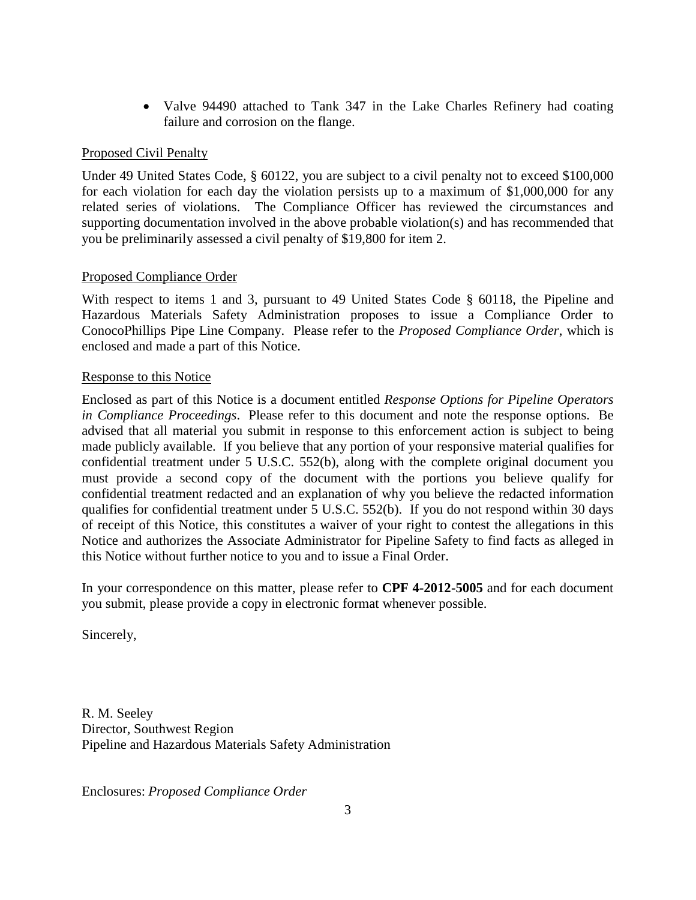• Valve 94490 attached to Tank 347 in the Lake Charles Refinery had coating failure and corrosion on the flange.

# Proposed Civil Penalty

Under 49 United States Code, § 60122, you are subject to a civil penalty not to exceed \$100,000 for each violation for each day the violation persists up to a maximum of \$1,000,000 for any related series of violations. The Compliance Officer has reviewed the circumstances and supporting documentation involved in the above probable violation(s) and has recommended that you be preliminarily assessed a civil penalty of \$19,800 for item 2.

### Proposed Compliance Order

With respect to items 1 and 3, pursuant to 49 United States Code § 60118, the Pipeline and Hazardous Materials Safety Administration proposes to issue a Compliance Order to ConocoPhillips Pipe Line Company. Please refer to the *Proposed Compliance Order*, which is enclosed and made a part of this Notice.

#### Response to this Notice

Enclosed as part of this Notice is a document entitled *Response Options for Pipeline Operators in Compliance Proceedings*. Please refer to this document and note the response options. Be advised that all material you submit in response to this enforcement action is subject to being made publicly available. If you believe that any portion of your responsive material qualifies for confidential treatment under 5 U.S.C. 552(b), along with the complete original document you must provide a second copy of the document with the portions you believe qualify for confidential treatment redacted and an explanation of why you believe the redacted information qualifies for confidential treatment under 5 U.S.C. 552(b). If you do not respond within 30 days of receipt of this Notice, this constitutes a waiver of your right to contest the allegations in this Notice and authorizes the Associate Administrator for Pipeline Safety to find facts as alleged in this Notice without further notice to you and to issue a Final Order.

In your correspondence on this matter, please refer to **CPF 4-2012-5005** and for each document you submit, please provide a copy in electronic format whenever possible.

Sincerely,

R. M. Seeley Director, Southwest Region Pipeline and Hazardous Materials Safety Administration

Enclosures: *Proposed Compliance Order*